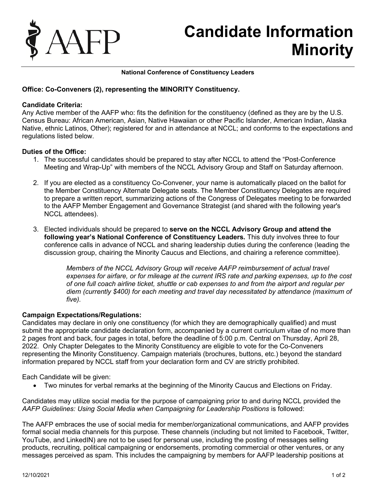

# **Candidate Information Minority**

#### **National Conference of Constituency Leaders**

## **Office: Co-Conveners (2), representing the MINORITY Constituency.**

#### **Candidate Criteria:**

Any Active member of the AAFP who: fits the definition for the constituency (defined as they are by the U.S. Census Bureau: African American, Asian, Native Hawaiian or other Pacific Islander, American Indian, Alaska Native, ethnic Latinos, Other); registered for and in attendance at NCCL; and conforms to the expectations and regulations listed below.

#### **Duties of the Office:**

- 1. The successful candidates should be prepared to stay after NCCL to attend the "Post-Conference Meeting and Wrap-Up" with members of the NCCL Advisory Group and Staff on Saturday afternoon.
- 2. If you are elected as a constituency Co-Convener, your name is automatically placed on the ballot for the Member Constituency Alternate Delegate seats. The Member Constituency Delegates are required to prepare a written report, summarizing actions of the Congress of Delegates meeting to be forwarded to the AAFP Member Engagement and Governance Strategist (and shared with the following year's NCCL attendees).
- 3. Elected individuals should be prepared to **serve on the NCCL Advisory Group and attend the following year's National Conference of Constituency Leaders.** This duty involves three to four conference calls in advance of NCCL and sharing leadership duties during the conference (leading the discussion group, chairing the Minority Caucus and Elections, and chairing a reference committee).

*Members of the NCCL Advisory Group will receive AAFP reimbursement of actual travel expenses for airfare, or for mileage at the current IRS rate and parking expenses, up to the cost of one full coach airline ticket, shuttle or cab expenses to and from the airport and regular per diem (currently \$400) for each meeting and travel day necessitated by attendance (maximum of five).*

### **Campaign Expectations/Regulations:**

Candidates may declare in only one constituency (for which they are demographically qualified) and must submit the appropriate candidate declaration form, accompanied by a current curriculum vitae of no more than 2 pages front and back, four pages in total, before the deadline of 5:00 p.m. Central on Thursday, April 28, 2022. Only Chapter Delegates to the Minority Constituency are eligible to vote for the Co-Conveners representing the Minority Constituency. Campaign materials (brochures, buttons, etc.) beyond the standard information prepared by NCCL staff from your declaration form and CV are strictly prohibited.

Each Candidate will be given:

• Two minutes for verbal remarks at the beginning of the Minority Caucus and Elections on Friday.

Candidates may utilize social media for the purpose of campaigning prior to and during NCCL provided the *AAFP Guidelines: Using Social Media when Campaigning for Leadership Positions* is followed:

The AAFP embraces the use of social media for member/organizational communications, and AAFP provides formal social media channels for this purpose. These channels (including but not limited to Facebook, Twitter, YouTube, and LinkedIN) are not to be used for personal use, including the posting of messages selling products, recruiting, political campaigning or endorsements, promoting commercial or other ventures, or any messages perceived as spam. This includes the campaigning by members for AAFP leadership positions at